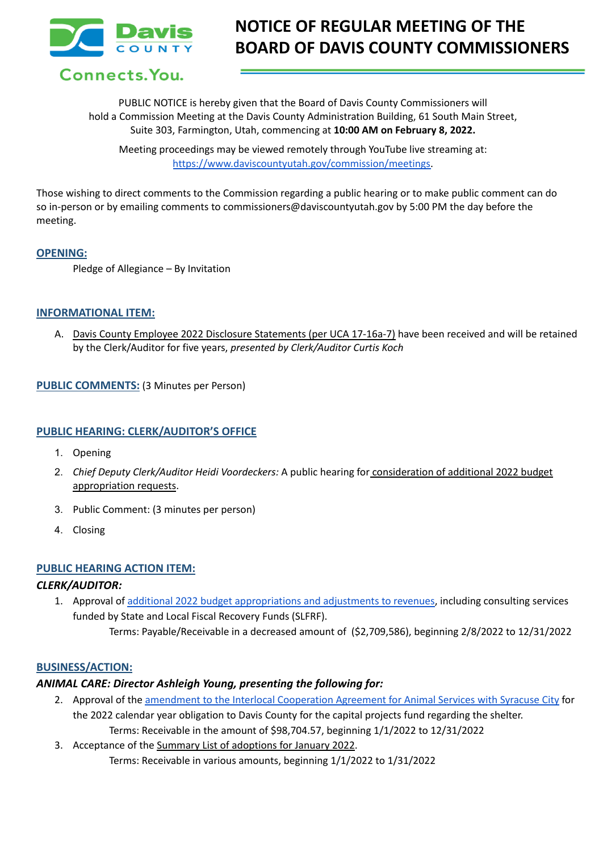

Connects. You.

PUBLIC NOTICE is hereby given that the Board of Davis County Commissioners will hold a Commission Meeting at the Davis County Administration Building, 61 South Main Street, Suite 303, Farmington, Utah, commencing at **10:00 AM on February 8, 2022.**

Meeting proceedings may be viewed remotely through YouTube live streaming at: [https://www.daviscountyutah.gov/commission/meetings.](https://www.daviscountyutah.gov/commission/meetings)

Those wishing to direct comments to the Commission regarding a public hearing or to make public comment can do so in-person or by emailing comments to commissioners@daviscountyutah.gov by 5:00 PM the day before the meeting.

### **OPENING:**

Pledge of Allegiance – By Invitation

### **INFORMATIONAL ITEM:**

A. Davis County Employee 2022 Disclosure Statements (per UCA 17-16a-7) have been received and will be retained by the Clerk/Auditor for five years, *presented by Clerk/Auditor Curtis Koch*

**PUBLIC COMMENTS:** (3 Minutes per Person)

### **PUBLIC HEARING: CLERK/AUDITOR'S OFFICE**

- 1. Opening
- 2. *Chief Deputy Clerk/Auditor Heidi Voordeckers:* A public hearing for consideration of additional 2022 budget appropriation requests.
- 3. Public Comment: (3 minutes per person)
- 4. Closing

### **PUBLIC HEARING ACTION ITEM:**

### *CLERK/AUDITOR:*

- 1. Approval of additional 2022 budget [appropriations](https://drive.google.com/file/d/1Ag2v5lv6DJyssAp0zvz5Exxve6e-gTqm/view?usp=sharing) and adjustments to revenues, including consulting services funded by State and Local Fiscal Recovery Funds (SLFRF).
	- Terms: Payable/Receivable in a decreased amount of (\$2,709,586), beginning 2/8/2022 to 12/31/2022

#### **BUSINESS/ACTION:**

### *ANIMAL CARE: Director Ashleigh Young, presenting the following for:*

- 2. Approval of the amendment to the Interlocal [Cooperation](https://drive.google.com/file/d/1sIPi1PTvHpFA_jEJO_LED2rk6UR_VGZo/view?usp=sharing) Agreement for Animal Services with Syracuse City for the 2022 calendar year obligation to Davis County for the capital projects fund regarding the shelter. Terms: Receivable in the amount of \$98,704.57, beginning 1/1/2022 to 12/31/2022
- 3. Acceptance of the Summary List of adoptions for January 2022. Terms: Receivable in various amounts, beginning 1/1/2022 to 1/31/2022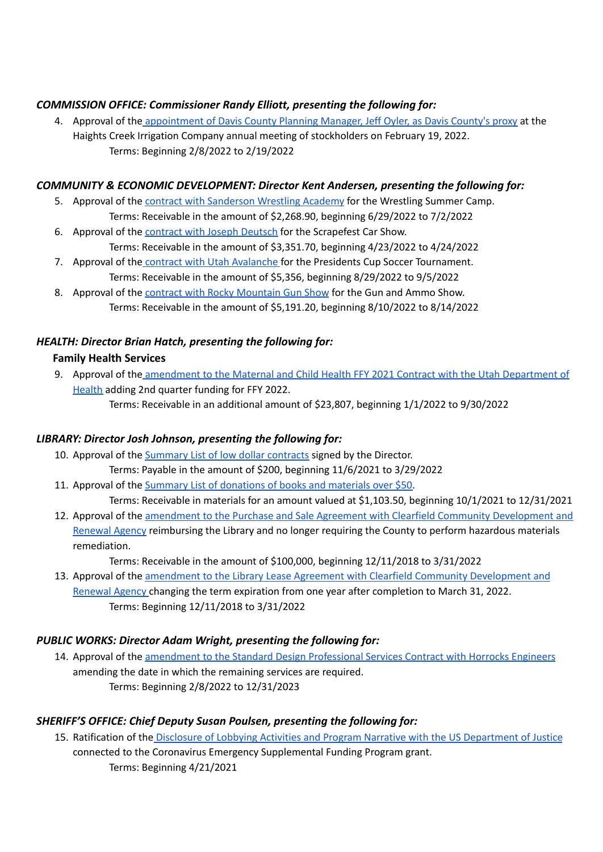# *COMMISSION OFFICE: Commissioner Randy Elliott, presenting the following for:*

4. Approval of the [appointment](https://drive.google.com/file/d/1w3lB1W52FIlfI0tSkgZMKJcBaNpuIwjM/view?usp=sharing) of Davis County Planning Manager, Jeff Oyler, as Davis County's proxy at the Haights Creek Irrigation Company annual meeting of stockholders on February 19, 2022. Terms: Beginning 2/8/2022 to 2/19/2022

## *COMMUNITY & ECONOMIC DEVELOPMENT: Director Kent Andersen, presenting the following for:*

- 5. Approval of the contract with [Sanderson](https://drive.google.com/file/d/1tb2Zzg4Ubz6DcOEQkwtx4tMT1voSVu26/view?usp=sharing) Wrestling Academy for the Wrestling Summer Camp. Terms: Receivable in the amount of \$2,268.90, beginning 6/29/2022 to 7/2/2022
- 6. Approval of the [contract](https://drive.google.com/file/d/1bhZg5lY9nxriNenepbPo6GASTvScF-H0/view?usp=sharing) with Joseph Deutsch for the Scrapefest Car Show. Terms: Receivable in the amount of \$3,351.70, beginning 4/23/2022 to 4/24/2022
- 7. Approval of the contract with Utah [Avalanche](https://drive.google.com/file/d/1eeLmz2pkkHD4Hk640AfbT82pzXqYqKGi/view?usp=sharing) for the Presidents Cup Soccer Tournament. Terms: Receivable in the amount of \$5,356, beginning 8/29/2022 to 9/5/2022
- 8. Approval of the contract with Rocky [Mountain](https://drive.google.com/file/d/1nNkzGI5Nbr0n3r6vGy3CJn-jNMpdICD1/view?usp=sharing) Gun Show for the Gun and Ammo Show. Terms: Receivable in the amount of \$5,191.20, beginning 8/10/2022 to 8/14/2022

# *HEALTH: Director Brian Hatch, presenting the following for:*

## **Family Health Services**

9. Approval of the [amendment](https://drive.google.com/file/d/183-KsBEWxxxWb-gs6t6_YHFLaNHPNBCl/view?usp=sharing) to the Maternal and Child Health FFY 2021 Contract with the Utah Department of [Health](https://drive.google.com/file/d/183-KsBEWxxxWb-gs6t6_YHFLaNHPNBCl/view?usp=sharing) adding 2nd quarter funding for FFY 2022.

Terms: Receivable in an additional amount of \$23,807, beginning 1/1/2022 to 9/30/2022

# *LIBRARY: Director Josh Johnson, presenting the following for:*

- 10. Approval of the [Summary](https://drive.google.com/file/d/1kmfzPkeSw88O_3qNxN14LIWRHviRa_Tq/view?usp=sharing) List of low dollar contracts signed by the Director. Terms: Payable in the amount of \$200, beginning 11/6/2021 to 3/29/2022
- 11. Approval of the Summary List of [donations](https://drive.google.com/file/d/1cCzMuai4ZWJ0KQv2_j-CQ_33gL6VYfgd/view?usp=sharing) of books and materials over \$50.

Terms: Receivable in materials for an amount valued at \$1,103.50, beginning 10/1/2021 to 12/31/2021

12. Approval of the amendment to the Purchase and Sale Agreement with Clearfield Community [Development](https://drive.google.com/file/d/1g3gxxl9Gk3ExTqsKy1mn0I3g5Ld8VlX-/view?usp=sharing) and [Renewal](https://drive.google.com/file/d/1g3gxxl9Gk3ExTqsKy1mn0I3g5Ld8VlX-/view?usp=sharing) Agency reimbursing the Library and no longer requiring the County to perform hazardous materials remediation.

Terms: Receivable in the amount of \$100,000, beginning 12/11/2018 to 3/31/2022

13. Approval of the amendment to the Library Lease Agreement with Clearfield Community [Development](https://drive.google.com/file/d/1S1WWOvnGwIhleYcQk2WioO8Fg8XSJez3/view?usp=sharing) and [Renewal](https://drive.google.com/file/d/1S1WWOvnGwIhleYcQk2WioO8Fg8XSJez3/view?usp=sharing) Agency changing the term expiration from one year after completion to March 31, 2022. Terms: Beginning 12/11/2018 to 3/31/2022

# *PUBLIC WORKS: Director Adam Wright, presenting the following for:*

14. Approval of the [amendment](https://drive.google.com/file/d/1gxAqornPCMoGutCR1ubAbf1cAreO-1x5/view?usp=sharing) to the Standard Design Professional Services Contract with Horrocks Engineers amending the date in which the remaining services are required. Terms: Beginning 2/8/2022 to 12/31/2023

# *SHERIFF'S OFFICE: Chief Deputy Susan Poulsen, presenting the following for:*

15. Ratification of the Disclosure of Lobbying Activities and Program Narrative with the US [Department](https://drive.google.com/file/d/1sbhgtULiQmAKaKaZEQf8BqC5iXKA0rlE/view?usp=sharing) of Justice connected to the Coronavirus Emergency Supplemental Funding Program grant. Terms: Beginning 4/21/2021